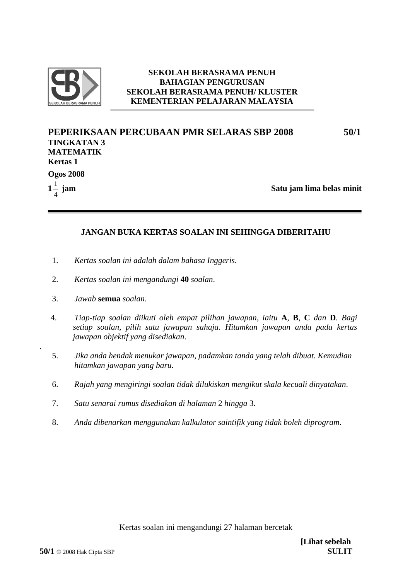

### **SEKOLAH BERASRAMA PENUH BAHAGIAN PENGURUSAN SEKOLAH BERASRAMA PENUH/ KLUSTER KEMENTERIAN PELAJARAN MALAYSIA**

| PEPERIKSAAN PERCUBAAN PMR SELARAS SBP 2008 | 50/1                      |
|--------------------------------------------|---------------------------|
| <b>TINGKATAN 3</b>                         |                           |
| <b>MATEMATIK</b>                           |                           |
| <b>Kertas 1</b>                            |                           |
| <b>Ogos 2008</b>                           |                           |
| $1\frac{1}{4}$ jam                         | Satu jam lima belas minit |
|                                            |                           |

## **JANGAN BUKA KERTAS SOALAN INI SEHINGGA DIBERITAHU**

- 1. *Kertas soalan ini adalah dalam bahasa Inggeris*.
- 2. *Kertas soalan ini mengandungi* **40** *soalan*.
- 3. *Jawab* **semua** *soalan*.

.

- 4. *Tiap-tiap soalan diikuti oleh empat pilihan jawapan, iaitu* **A**, **B**, **C** *dan* **D***. Bagi setiap soalan, pilih satu jawapan sahaja. Hitamkan jawapan anda pada kertas jawapan objektif yang disediakan*.
- 5. *Jika anda hendak menukar jawapan, padamkan tanda yang telah dibuat. Kemudian hitamkan jawapan yang baru*.
- 6. *Rajah yang mengiringi soalan tidak dilukiskan mengikut skala kecuali dinyatakan*.
- 7. *Satu senarai rumus disediakan di halaman* 2 *hingga* 3.
- 8. *Anda dibenarkan menggunakan kalkulator saintifik yang tidak boleh diprogram*.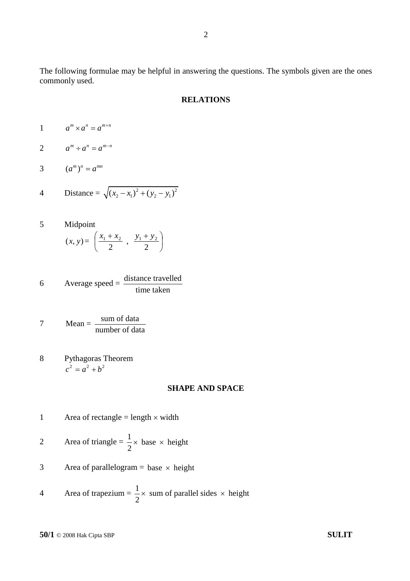The following formulae may be helpful in answering the questions. The symbols given are the ones commonly used.

#### **RELATIONS**

- 1  $a^m \times a^n = a^{m+n}$
- 2  $a^m \div a^n = a^{m-n}$
- 3  $(a^m)^n = a^{mn}$

4 Distance = 
$$
\sqrt{(x_2 - x_1)^2 + (y_2 - y_1)^2}
$$

- 5 Midpoint  $(x, y) = |2 \rangle$ J  $\left(x_1 +$ 2  $\frac{x_1 + x_2}{2}, \frac{y_1 + y_2}{2}$ J  $+ y_2$ ) 2  $y_1 + y_2$
- 6 Average speed  $=$  distance travelled time taken

$$
7 \tMean = \frac{\text{sum of data}}{\text{number of data}}
$$

8 Pythagoras Theorem  $c^2 = a^2 + b^2$ 

#### **SHAPE AND SPACE**

1 Area of rectangle = length  $\times$  width

$$
2 \qquad \text{Area of triangle} = \frac{1}{2} \times \text{base} \times \text{height}
$$

3 Area of parallelogram = base  $\times$  height

Area of trapezium = 
$$
\frac{1}{2}
$$
 × sum of parallel sides × height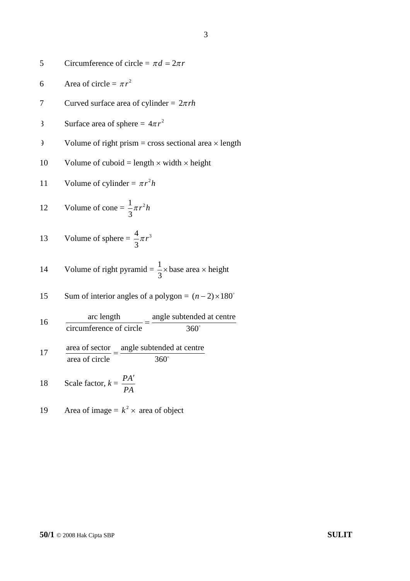5 Circumference of circle = 
$$
\pi d = 2\pi r
$$

- 6 Area of circle =  $\pi r^2$
- 7 Curved surface area of cylinder =  $2\pi rh$
- 8 Surface area of sphere =  $4\pi r^2$
- $\theta$  Volume of right prism = cross sectional area  $\times$  length
- 10 Volume of cuboid = length  $\times$  width  $\times$  height

11 Volume of cylinder = 
$$
\pi r^2 h
$$

12 Volume of cone = 
$$
\frac{1}{3}\pi r^2 h
$$

13 Volume of sphere 
$$
=
$$
  $\frac{4}{3}\pi r^3$ 

14 Volume of right pyramid = 
$$
\frac{1}{3}
$$
 × base area × height

15 Sum of interior angles of a polygon = 
$$
(n-2) \times 180^\circ
$$

16 
$$
\frac{\text{arc length}}{\text{circumference of circle}} = \frac{\text{angle subtended at centre}}{360^{\circ}}
$$

$$
17 \t\t \t  $\frac{\text{area of sector}}{\text{area of circle}} = \frac{\text{angle subtended at centre}}{360^{\circ}}$
$$

18 Scale factor, 
$$
k = \frac{PA'}{PA}
$$

$$
19 \qquad \text{Area of image} = k^2 \times \text{ area of object}
$$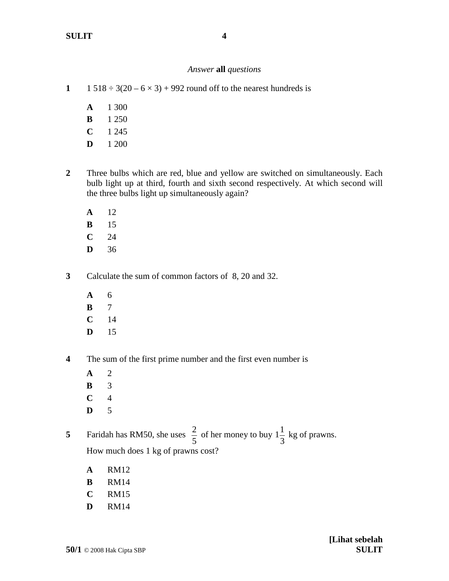## *Answer* **all** *questions*

- **1** 1 518  $\div$  3(20 6  $\times$  3) + 992 round off to the nearest hundreds is
	- **A** 1 300
	- **B** 1 250
	- **C** 1 245
	- **D** 1 200
- **2** Three bulbs which are red, blue and yellow are switched on simultaneously. Each bulb light up at third, fourth and sixth second respectively. At which second will the three bulbs light up simultaneously again?
	- **A** 12
	- **B** 15
	- **C** 24
	- **D** 36
- **3** Calculate the sum of common factors of 8, 20 and 32.
	- **A** 6
	- **B** 7
	- **C** 14
	- **D** 15
- **4** The sum of the first prime number and the first even number is
	- **A** 2
	- **B** 3
	- **C** 4
	- **D** 5

**5** Faridah has RM50, she uses 5  $\frac{2}{5}$  of her money to buy 1. 3  $1\frac{1}{2}$  kg of prawns. How much does 1 kg of prawns cost?

- **A** RM12
- **B** RM14
- **C** RM15
- **D** RM14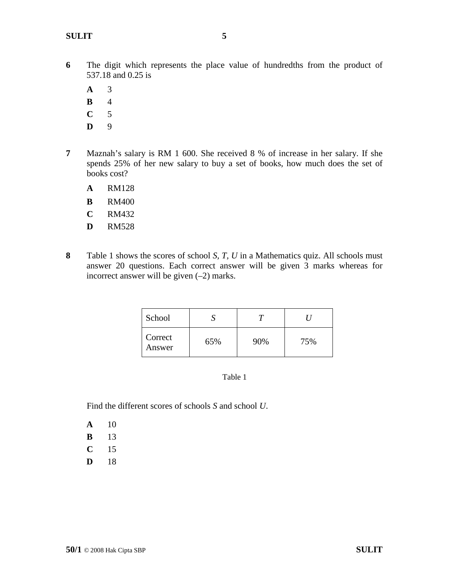**A** 3

- **B** 4
- **C** 5
- **D** 9
- **7** Maznah's salary is RM 1 600. She received 8 % of increase in her salary. If she spends 25% of her new salary to buy a set of books, how much does the set of books cost?
	- **A** RM128
	- **B** RM400
	- **C** RM432
	- **D** RM528
- **8** Table 1 shows the scores of school *S, T, U* in a Mathematics quiz. All schools must answer 20 questions. Each correct answer will be given 3 marks whereas for incorrect answer will be given  $(-2)$  marks.

| School            |     |     |     |
|-------------------|-----|-----|-----|
| Correct<br>Answer | 65% | 90% | 75% |

#### Table 1

Find the different scores of schools *S* and school *U*.

- **A** 10
- **B** 13
- **C** 15
- **D** 18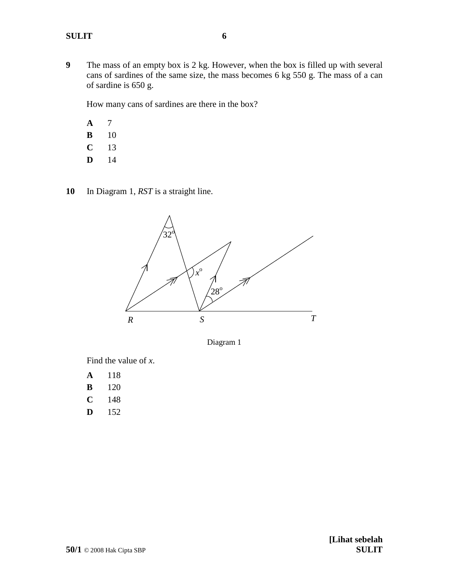**9** The mass of an empty box is 2 kg. However, when the box is filled up with several cans of sardines of the same size, the mass becomes 6 kg 550 g. The mass of a can of sardine is 650 g.

How many cans of sardines are there in the box?

**A** 7 **B** 10 **C** 13

- **D** 14
- **10** In Diagram 1, *RST* is a straight line.



Diagram 1

Find the value of *x*.

- **A** 118 **B** 120
- **C** 148
- **D** 152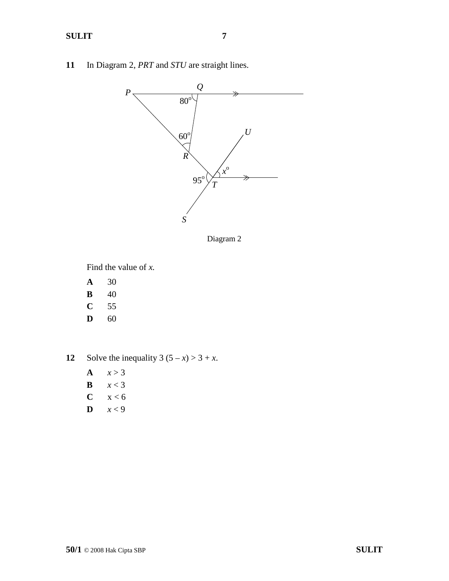**11** In Diagram 2, *PRT* and *STU* are straight lines.



Diagram 2

Find the value of *x.*

- **A** 30
- **B** 40
- **C** 55
- **D** 60

**12** Solve the inequality  $3(5 - x) > 3 + x$ .

- A  $x > 3$
- **B**  $x < 3$
- $C \quad x < 6$
- **D**  $x < 9$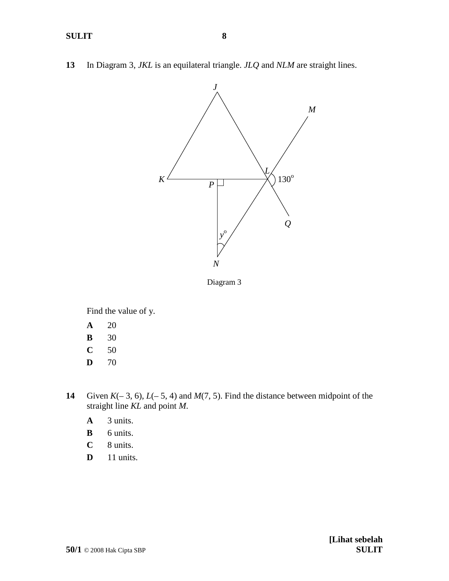**13** In Diagram 3, *JKL* is an equilateral triangle. *JLQ* and *NLM* are straight lines.



Diagram 3

Find the value of y.

- **A** 20
- **B** 30
- **C** 50
- **D** 70
- **14** Given  $K(-3, 6)$ ,  $L(-5, 4)$  and  $M(7, 5)$ . Find the distance between midpoint of the straight line *KL* and point *M*.
	- **A** 3 units.
	- **B** 6 units.
	- **C** 8 units.
	- **D** 11 units.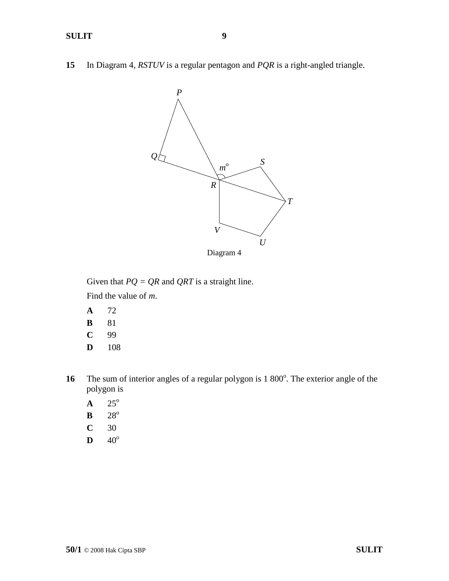**15** In Diagram 4, *RSTUV* is a regular pentagon and *PQR* is a right-angled triangle.



Given that *PQ = QR* and *QRT* is a straight line.

Find the value of *m*.

- **A** 72
- **B** 81
- **C** 99
- **D** 108
- 16 The sum of interior angles of a regular polygon is 1 800<sup>°</sup>. The exterior angle of the polygon is
	- $A \t 25^\circ$
	- $B$  28<sup>o</sup>
	- **C** 30
	- $D \t 40^{\circ}$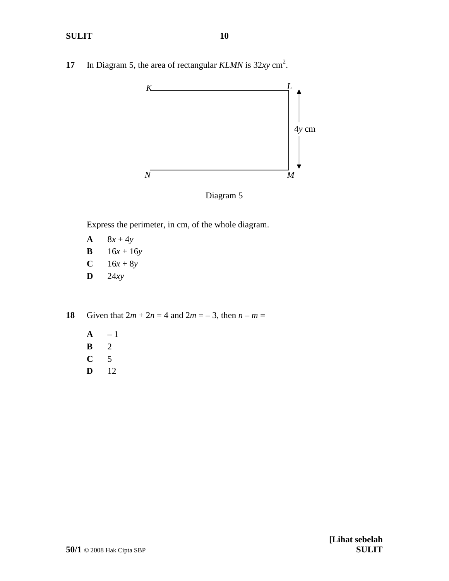**17** In Diagram 5, the area of rectangular *KLMN* is 32*xy* cm 2 .



Diagram 5

Express the perimeter, in cm, of the whole diagram.

- **A**  $8x + 4y$
- **B**  $16x + 16y$
- **C**  $16x + 8y$
- **D** 24*xy*

**18** Given that  $2m + 2n = 4$  and  $2m = -3$ , then  $n - m =$ 

- **A** 1 **B** 2 **C** 5
- **D** 12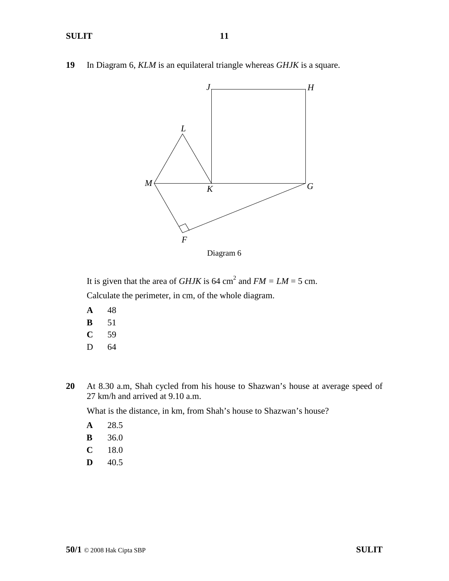**19** In Diagram 6, *KLM* is an equilateral triangle whereas *GHJK* is a square.



It is given that the area of *GHJK* is 64 cm<sup>2</sup> and  $FM = LM = 5$  cm. Calculate the perimeter, in cm, of the whole diagram.

- **A** 48 **B** 51 **C** 59
- D 64
- **20** At 8.30 a.m, Shah cycled from his house to Shazwan's house at average speed of 27 km/h and arrived at 9.10 a.m.

What is the distance, in km, from Shah's house to Shazwan's house?

- **A** 28.5
- **B** 36.0
- **C** 18.0
- $D = 40.5$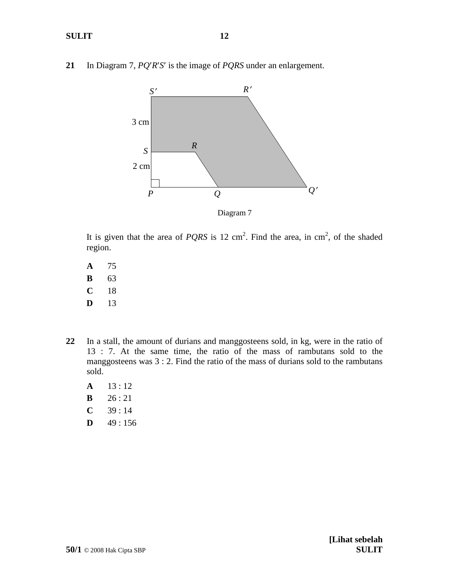**21** In Diagram 7, *PQRS* is the image of *PQRS* under an enlargement.



Diagram 7

It is given that the area of *PQRS* is 12 cm<sup>2</sup>. Find the area, in cm<sup>2</sup>, of the shaded region.

- **A** 75 **B** 63 **C** 18 **D** 13
- **22** In a stall, the amount of durians and manggosteens sold, in kg, were in the ratio of 13 : 7. At the same time, the ratio of the mass of rambutans sold to the manggosteens was 3 : 2. Find the ratio of the mass of durians sold to the rambutans sold.
	- **A** 13 : 12 **B** 26 : 21
	- $C = 39 : 14$
	- **D**  $49:156$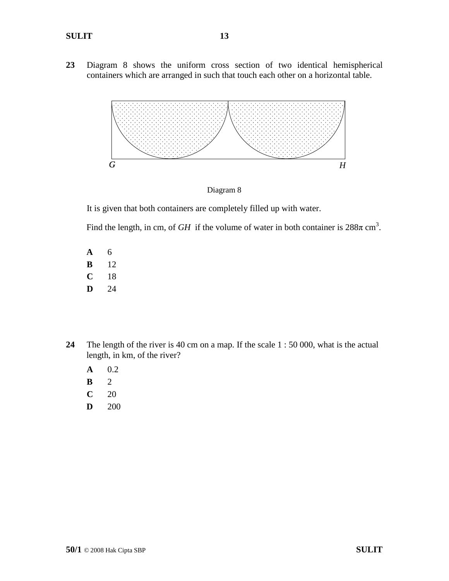**23** Diagram 8 shows the uniform cross section of two identical hemispherical containers which are arranged in such that touch each other on a horizontal table.



Diagram 8

It is given that both containers are completely filled up with water.

Find the length, in cm, of *GH* if the volume of water in both container is  $288\pi$  cm<sup>3</sup>.

- **A** 6 **B** 12 **C** 18 **D** 24
- **24** The length of the river is 40 cm on a map. If the scale 1 : 50 000, what is the actual length, in km, of the river?
	- **A** 0.2
	- **B** 2
	- **C** 20
	- **D** 200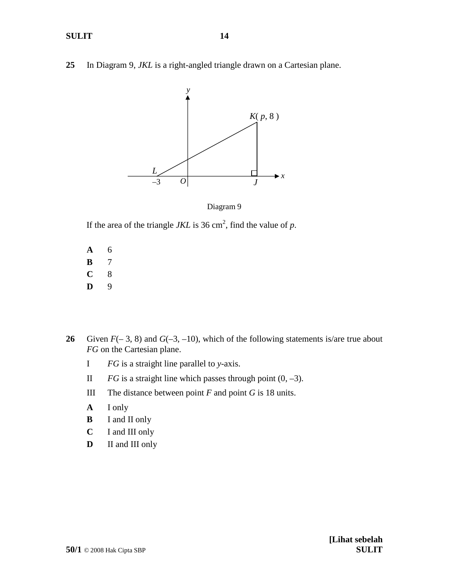**25** In Diagram 9, *JKL* is a right-angled triangle drawn on a Cartesian plane.



Diagram 9

If the area of the triangle  $JKL$  is 36 cm<sup>2</sup>, find the value of  $p$ .

- **A** 6 **B** 7 **C** 8 **D** 9
- **26** Given  $F(-3, 8)$  and  $G(-3, -10)$ , which of the following statements is/are true about *FG* on the Cartesian plane.
	- I *FG* is a straight line parallel to *y*-axis.
	- II *FG* is a straight line which passes through point  $(0, -3)$ .
	- III The distance between point  $F$  and point  $G$  is 18 units.
	- **A** I only
	- **B** I and II only
	- **C** I and III only
	- **D** II and III only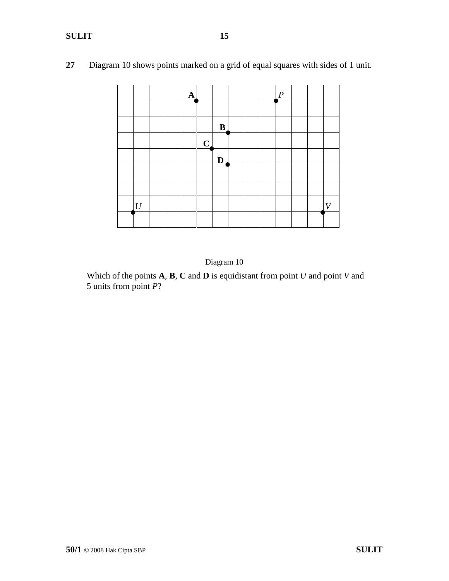|                |  | $\mathbf{A}$ |                |                         |  | $\boldsymbol{P}$ |  |                  |
|----------------|--|--------------|----------------|-------------------------|--|------------------|--|------------------|
|                |  |              |                |                         |  |                  |  |                  |
|                |  |              |                | $\bf{B}$                |  |                  |  |                  |
|                |  |              | $\overline{C}$ |                         |  |                  |  |                  |
|                |  |              |                | $\overline{\mathbf{D}}$ |  |                  |  |                  |
|                |  |              |                |                         |  |                  |  |                  |
|                |  |              |                |                         |  |                  |  |                  |
| $\overline{U}$ |  |              |                |                         |  |                  |  | $\boldsymbol{V}$ |
|                |  |              |                |                         |  |                  |  |                  |

**27** Diagram 10 shows points marked on a grid of equal squares with sides of 1 unit.



Which of the points **A**, **B**, **C** and **D** is equidistant from point *U* and point *V* and 5 units from point *P*?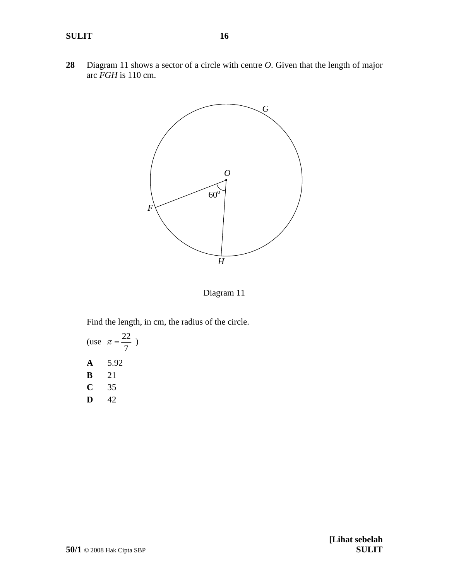**28** Diagram 11 shows a sector of a circle with centre *O*. Given that the length of major arc *FGH* is 110 cm.



Diagram 11

Find the length, in cm, the radius of the circle.

(use 
$$
\pi = \frac{22}{7}
$$
)  
A 5.92  
B 21  
C 35  
D 42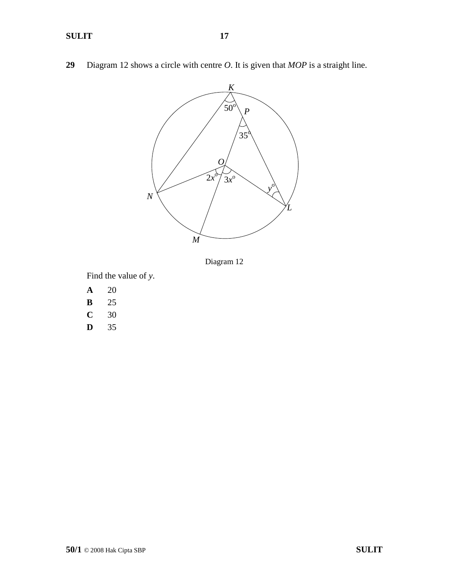**29** Diagram 12 shows a circle with centre *O*. It is given that *MOP* is a straight line.



Diagram 12

Find the value of *y*.

- **A** 20
- **B** 25
- **C** 30
- **D** 35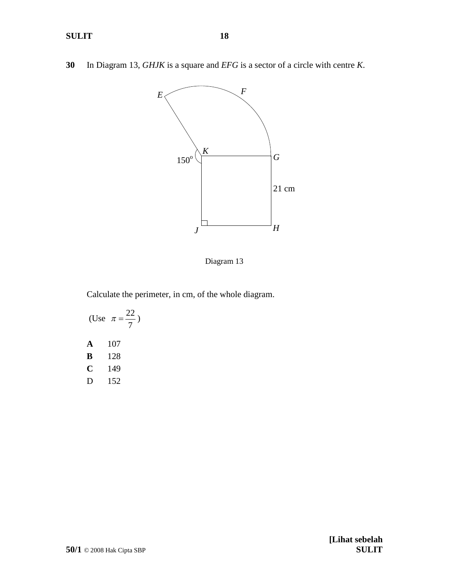**30** In Diagram 13, *GHJK* is a square and *EFG* is a sector of a circle with centre *K*.



Diagram 13

Calculate the perimeter, in cm, of the whole diagram.

(Use 7  $\pi = \frac{22}{ }$ **A** 107 **B** 128 **C** 149 D 152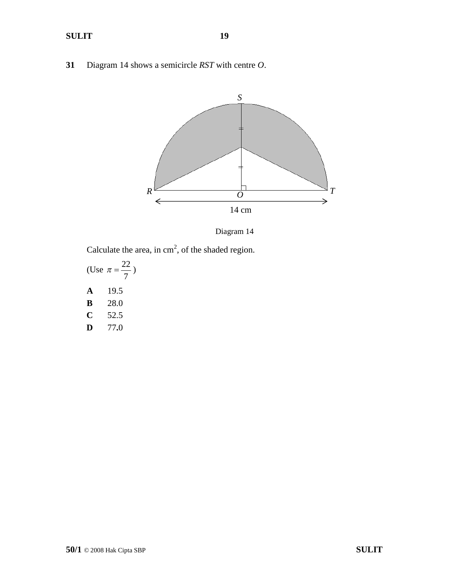**31** Diagram 14 shows a semicircle *RST* with centre *O*.



Diagram 14

Calculate the area, in  $cm<sup>2</sup>$ , of the shaded region.

(Use 7  $\pi = \frac{22}{ }$ **A** 19.5 **B** 28.0 **C** 52.5 **D** 77**.**0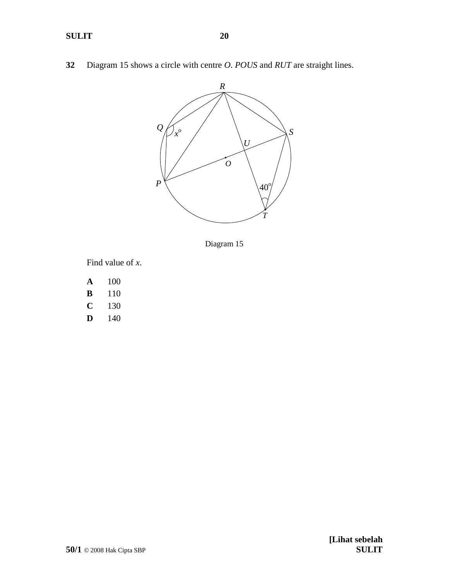**32** Diagram 15 shows a circle with centre *O*. *POUS* and *RUT* are straight lines.



Diagram 15

Find value of *x*.

- **A** 100
- **B** 110
- **C** 130
- **D** 140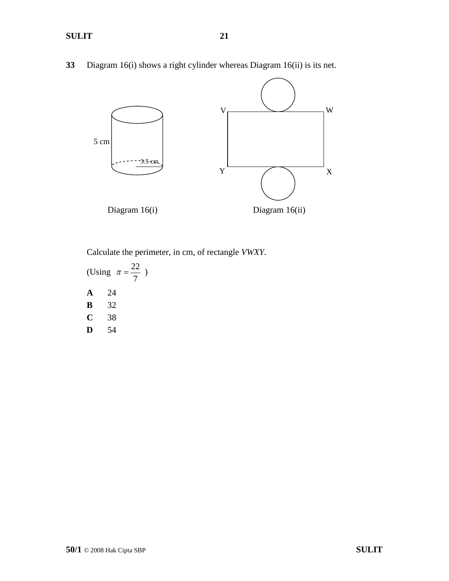**SULIT 21**

**33** Diagram 16(i) shows a right cylinder whereas Diagram 16(ii) is its net.



Calculate the perimeter, in cm, of rectangle *VWXY.*

(Using 7  $\pi = \frac{22}{\pi}$ **A** 24 **B** 32 **C** 38 **D** 54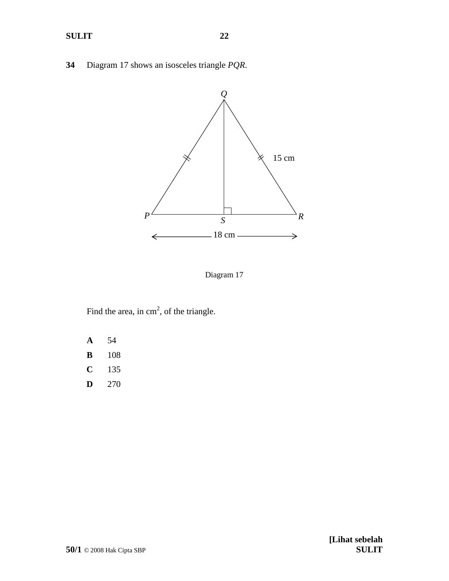**34** Diagram 17 shows an isosceles triangle *PQR*.



Diagram 17

Find the area, in  $cm<sup>2</sup>$ , of the triangle.

- **A** 54
- **B** 108
- **C** 135
- **D** 270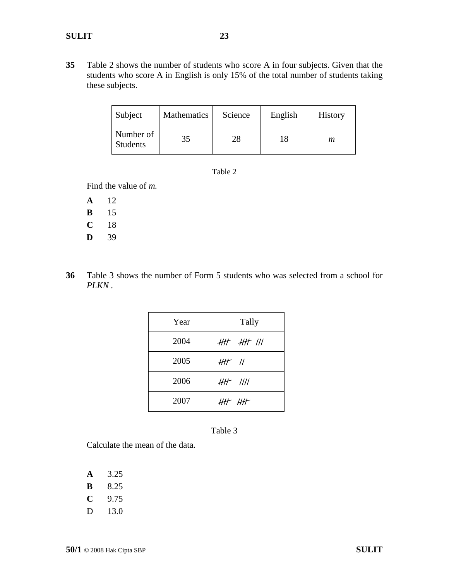| Subject                      | <b>Mathematics</b> | Science | English | <b>History</b> |
|------------------------------|--------------------|---------|---------|----------------|
| Number of<br><b>Students</b> | 35                 | 28      | 18      | т              |

| m<br>r |  |
|--------|--|
|        |  |

Find the value of *m.*

| A | 12 |
|---|----|
| в | 15 |
| C | 18 |
| D | 39 |

**36** Table 3 shows the number of Form 5 students who was selected from a school for *PLKN .*

| Year | Tally                   |
|------|-------------------------|
| 2004 | $H\!H$ $H\!H$ $I\!I\!I$ |
| 2005 | $H\hslash$ //           |
| 2006 | $HH$ $III$              |
| 2007 | $H H + H H$             |

Table 3

Calculate the mean of the data.

- **A** 3.25
- **B** 8.25
- **C** 9.75
- D 13.0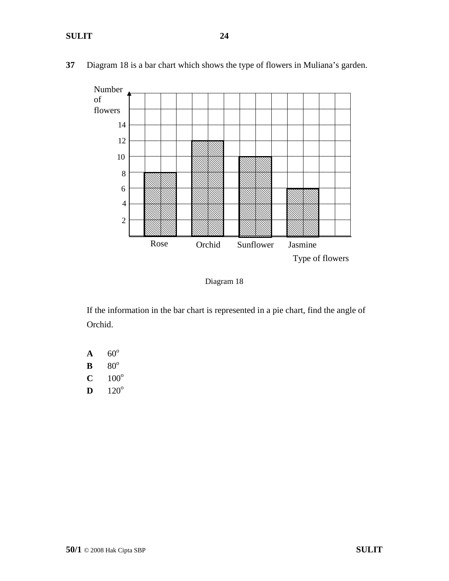

**37** Diagram 18 is a bar chart which shows the type of flowers in Muliana's garden.

Diagram 18

If the information in the bar chart is represented in a pie chart, find the angle of Orchid.

 $A = 60^\circ$  $\mathbf{B}$  80<sup>o</sup>  $C = 100^{\circ}$  $D = 120^{\circ}$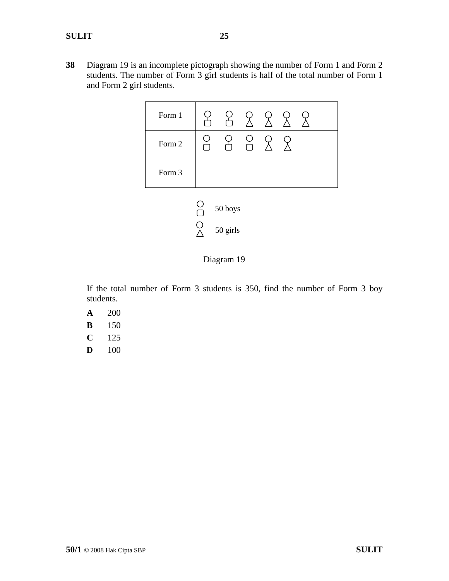**38** Diagram 19 is an incomplete pictograph showing the number of Form 1 and Form 2 students. The number of Form 3 girl students is half of the total number of Form 1 and Form 2 girl students.



Diagram 19

If the total number of Form 3 students is 350, find the number of Form 3 boy students.

- **A** 200
- **B** 150
- **C** 125
- **D** 100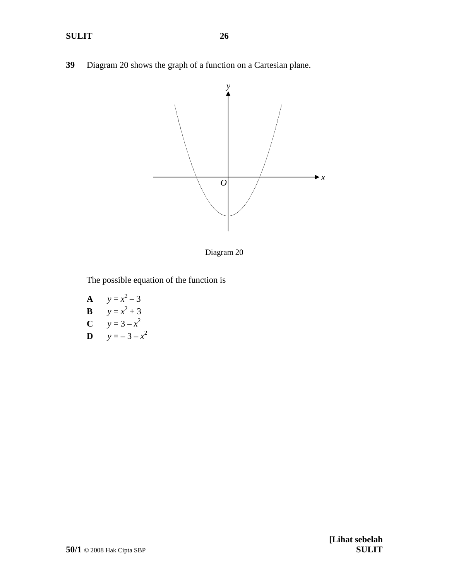**39** Diagram 20 shows the graph of a function on a Cartesian plane.



Diagram 20

The possible equation of the function is

**A**  $y = x^2 - 3$ **B**  $y = x^2 + 3$ **C**  $y = 3 - x^2$ **D**  $y = -3 - x^2$